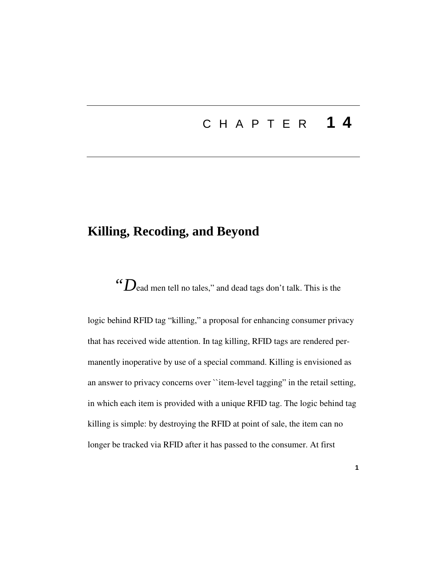# C H A P T E R **1 4**

## **Killing, Recoding, and Beyond**

*"D*ead men tell no tales," and dead tags don't talk. This is the

logic behind RFID tag "killing," a proposal for enhancing consumer privacy that has received wide attention. In tag killing, RFID tags are rendered permanently inoperative by use of a special command. Killing is envisioned as an answer to privacy concerns over ``item-level tagging" in the retail setting, in which each item is provided with a unique RFID tag. The logic behind tag killing is simple: by destroying the RFID at point of sale, the item can no longer be tracked via RFID after it has passed to the consumer. At first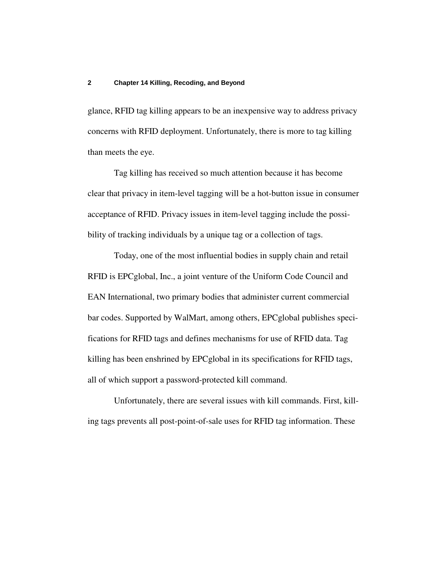glance, RFID tag killing appears to be an inexpensive way to address privacy concerns with RFID deployment. Unfortunately, there is more to tag killing than meets the eye.

Tag killing has received so much attention because it has become clear that privacy in item-level tagging will be a hot-button issue in consumer acceptance of RFID. Privacy issues in item-level tagging include the possibility of tracking individuals by a unique tag or a collection of tags.

Today, one of the most influential bodies in supply chain and retail RFID is EPCglobal, Inc., a joint venture of the Uniform Code Council and EAN International, two primary bodies that administer current commercial bar codes. Supported by WalMart, among others, EPCglobal publishes specifications for RFID tags and defines mechanisms for use of RFID data. Tag killing has been enshrined by EPCglobal in its specifications for RFID tags, all of which support a password-protected kill command.

Unfortunately, there are several issues with kill commands. First, killing tags prevents all post-point-of-sale uses for RFID tag information. These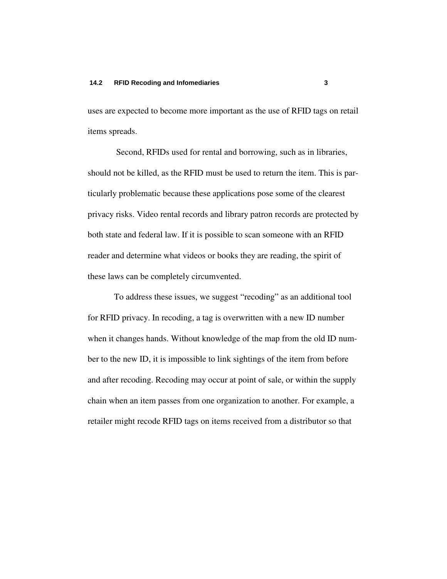uses are expected to become more important as the use of RFID tags on retail items spreads.

Second, RFIDs used for rental and borrowing, such as in libraries, should not be killed, as the RFID must be used to return the item. This is particularly problematic because these applications pose some of the clearest privacy risks. Video rental records and library patron records are protected by both state and federal law. If it is possible to scan someone with an RFID reader and determine what videos or books they are reading, the spirit of these laws can be completely circumvented.

To address these issues, we suggest "recoding" as an additional tool for RFID privacy. In recoding, a tag is overwritten with a new ID number when it changes hands. Without knowledge of the map from the old ID number to the new ID, it is impossible to link sightings of the item from before and after recoding. Recoding may occur at point of sale, or within the supply chain when an item passes from one organization to another. For example, a retailer might recode RFID tags on items received from a distributor so that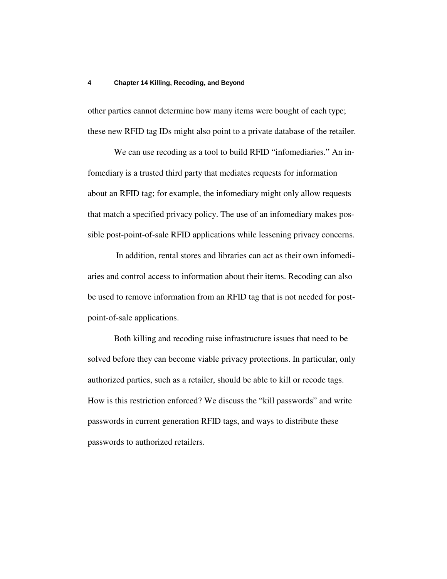other parties cannot determine how many items were bought of each type; these new RFID tag IDs might also point to a private database of the retailer.

We can use recoding as a tool to build RFID "infomediaries." An infomediary is a trusted third party that mediates requests for information about an RFID tag; for example, the infomediary might only allow requests that match a specified privacy policy. The use of an infomediary makes possible post-point-of-sale RFID applications while lessening privacy concerns.

In addition, rental stores and libraries can act as their own infomediaries and control access to information about their items. Recoding can also be used to remove information from an RFID tag that is not needed for postpoint-of-sale applications.

Both killing and recoding raise infrastructure issues that need to be solved before they can become viable privacy protections. In particular, only authorized parties, such as a retailer, should be able to kill or recode tags. How is this restriction enforced? We discuss the "kill passwords" and write passwords in current generation RFID tags, and ways to distribute these passwords to authorized retailers.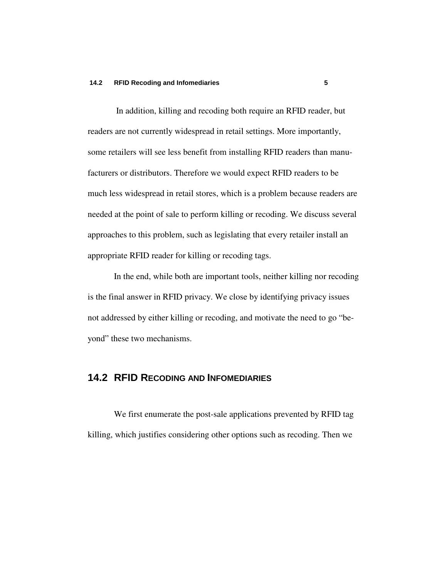In addition, killing and recoding both require an RFID reader, but readers are not currently widespread in retail settings. More importantly, some retailers will see less benefit from installing RFID readers than manufacturers or distributors. Therefore we would expect RFID readers to be much less widespread in retail stores, which is a problem because readers are needed at the point of sale to perform killing or recoding. We discuss several approaches to this problem, such as legislating that every retailer install an appropriate RFID reader for killing or recoding tags.

In the end, while both are important tools, neither killing nor recoding is the final answer in RFID privacy. We close by identifying privacy issues not addressed by either killing or recoding, and motivate the need to go "beyond" these two mechanisms.

### **14.2 RFID RECODING AND INFOMEDIARIES**

We first enumerate the post-sale applications prevented by RFID tag killing, which justifies considering other options such as recoding. Then we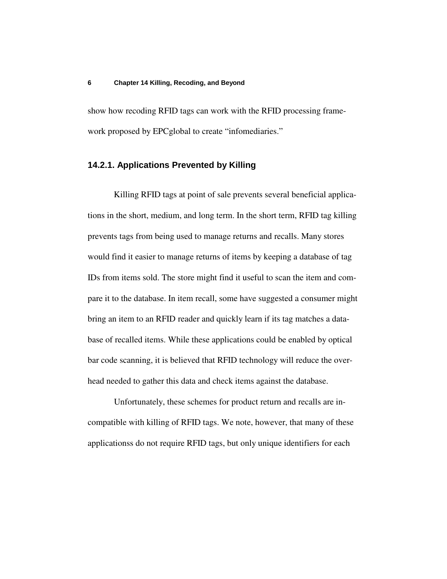show how recoding RFID tags can work with the RFID processing framework proposed by EPCglobal to create "infomediaries."

### **14.2.1. Applications Prevented by Killing**

Killing RFID tags at point of sale prevents several beneficial applications in the short, medium, and long term. In the short term, RFID tag killing prevents tags from being used to manage returns and recalls. Many stores would find it easier to manage returns of items by keeping a database of tag IDs from items sold. The store might find it useful to scan the item and compare it to the database. In item recall, some have suggested a consumer might bring an item to an RFID reader and quickly learn if its tag matches a database of recalled items. While these applications could be enabled by optical bar code scanning, it is believed that RFID technology will reduce the overhead needed to gather this data and check items against the database.

Unfortunately, these schemes for product return and recalls are incompatible with killing of RFID tags. We note, however, that many of these applicationss do not require RFID tags, but only unique identifiers for each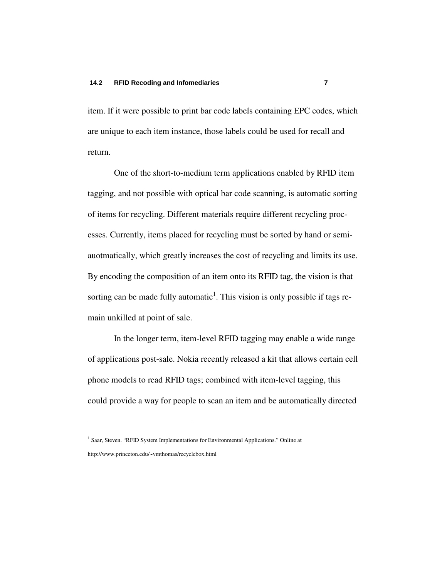item. If it were possible to print bar code labels containing EPC codes, which are unique to each item instance, those labels could be used for recall and return.

One of the short-to-medium term applications enabled by RFID item tagging, and not possible with optical bar code scanning, is automatic sorting of items for recycling. Different materials require different recycling processes. Currently, items placed for recycling must be sorted by hand or semiauotmatically, which greatly increases the cost of recycling and limits its use. By encoding the composition of an item onto its RFID tag, the vision is that sorting can be made fully automatic<sup>1</sup>. This vision is only possible if tags remain unkilled at point of sale.

In the longer term, item-level RFID tagging may enable a wide range of applications post-sale. Nokia recently released a kit that allows certain cell phone models to read RFID tags; combined with item-level tagging, this could provide a way for people to scan an item and be automatically directed

<sup>&</sup>lt;sup>1</sup> Saar, Steven. "RFID System Implementations for Environmental Applications." Online at http://www.princeton.edu/~vmthomas/recyclebox.html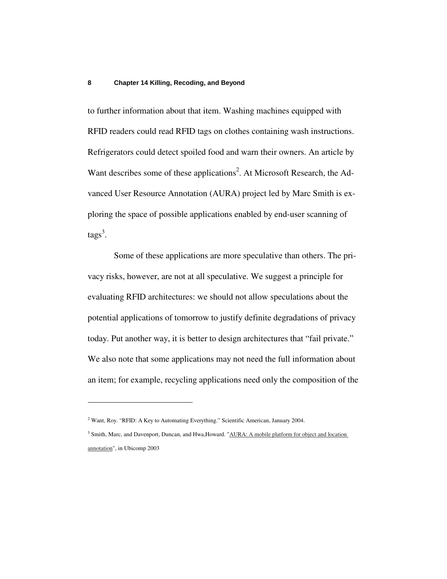to further information about that item. Washing machines equipped with RFID readers could read RFID tags on clothes containing wash instructions. Refrigerators could detect spoiled food and warn their owners. An article by Want describes some of these applications<sup>2</sup>. At Microsoft Research, the Advanced User Resource Annotation (AURA) project led by Marc Smith is exploring the space of possible applications enabled by end-user scanning of tags<sup>3</sup>.

Some of these applications are more speculative than others. The privacy risks, however, are not at all speculative. We suggest a principle for evaluating RFID architectures: we should not allow speculations about the potential applications of tomorrow to justify definite degradations of privacy today. Put another way, it is better to design architectures that "fail private." We also note that some applications may not need the full information about an item; for example, recycling applications need only the composition of the

<sup>&</sup>lt;sup>2</sup> Want, Roy. "RFID: A Key to Automating Everything." Scientific American, January 2004.

<sup>&</sup>lt;sup>3</sup> Smith, Marc, and Davenport, Duncan, and Hwa,Howard. "AURA: A mobile platform for object and location annotation", in Ubicomp 2003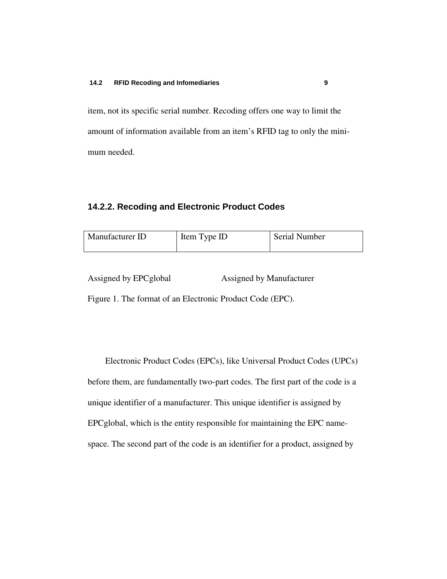item, not its specific serial number. Recoding offers one way to limit the amount of information available from an item's RFID tag to only the minimum needed.

### **14.2.2. Recoding and Electronic Product Codes**

| Manufacturer ID<br>Item Type ID | <b>Serial Number</b> |
|---------------------------------|----------------------|
|---------------------------------|----------------------|

Assigned by EPCglobal Assigned by Manufacturer

Figure 1. The format of an Electronic Product Code (EPC).

Electronic Product Codes (EPCs), like Universal Product Codes (UPCs) before them, are fundamentally two-part codes. The first part of the code is a unique identifier of a manufacturer. This unique identifier is assigned by EPCglobal, which is the entity responsible for maintaining the EPC namespace. The second part of the code is an identifier for a product, assigned by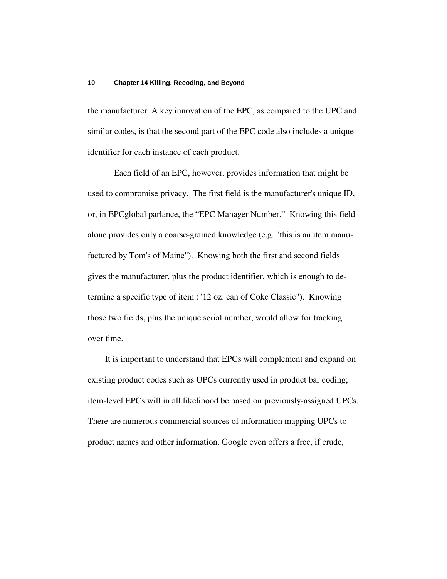the manufacturer. A key innovation of the EPC, as compared to the UPC and similar codes, is that the second part of the EPC code also includes a unique identifier for each instance of each product.

Each field of an EPC, however, provides information that might be used to compromise privacy. The first field is the manufacturer's unique ID, or, in EPCglobal parlance, the "EPC Manager Number." Knowing this field alone provides only a coarse-grained knowledge (e.g. "this is an item manufactured by Tom's of Maine"). Knowing both the first and second fields gives the manufacturer, plus the product identifier, which is enough to determine a specific type of item ("12 oz. can of Coke Classic"). Knowing those two fields, plus the unique serial number, would allow for tracking over time.

It is important to understand that EPCs will complement and expand on existing product codes such as UPCs currently used in product bar coding; item-level EPCs will in all likelihood be based on previously-assigned UPCs. There are numerous commercial sources of information mapping UPCs to product names and other information. Google even offers a free, if crude,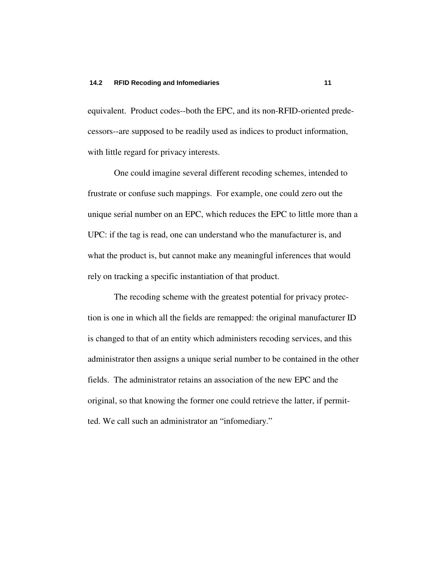equivalent. Product codes--both the EPC, and its non-RFID-oriented predecessors--are supposed to be readily used as indices to product information, with little regard for privacy interests.

One could imagine several different recoding schemes, intended to frustrate or confuse such mappings. For example, one could zero out the unique serial number on an EPC, which reduces the EPC to little more than a UPC: if the tag is read, one can understand who the manufacturer is, and what the product is, but cannot make any meaningful inferences that would rely on tracking a specific instantiation of that product.

The recoding scheme with the greatest potential for privacy protection is one in which all the fields are remapped: the original manufacturer ID is changed to that of an entity which administers recoding services, and this administrator then assigns a unique serial number to be contained in the other fields. The administrator retains an association of the new EPC and the original, so that knowing the former one could retrieve the latter, if permitted. We call such an administrator an "infomediary."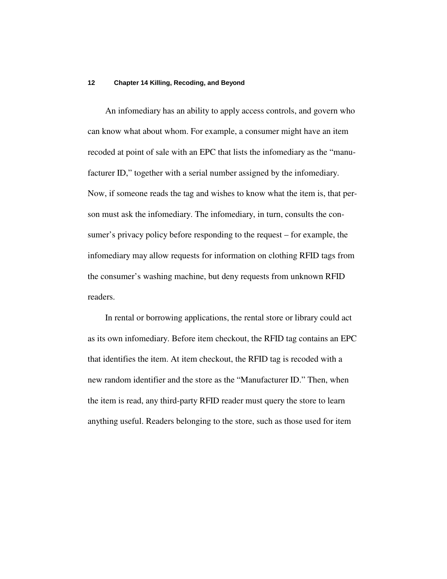An infomediary has an ability to apply access controls, and govern who can know what about whom. For example, a consumer might have an item recoded at point of sale with an EPC that lists the infomediary as the "manufacturer ID," together with a serial number assigned by the infomediary. Now, if someone reads the tag and wishes to know what the item is, that person must ask the infomediary. The infomediary, in turn, consults the consumer's privacy policy before responding to the request – for example, the infomediary may allow requests for information on clothing RFID tags from the consumer's washing machine, but deny requests from unknown RFID readers.

In rental or borrowing applications, the rental store or library could act as its own infomediary. Before item checkout, the RFID tag contains an EPC that identifies the item. At item checkout, the RFID tag is recoded with a new random identifier and the store as the "Manufacturer ID." Then, when the item is read, any third-party RFID reader must query the store to learn anything useful. Readers belonging to the store, such as those used for item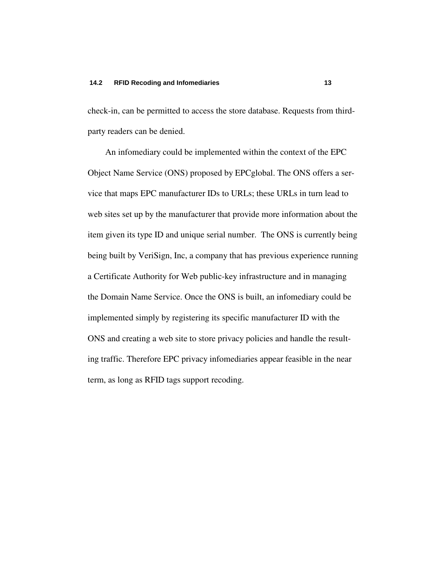check-in, can be permitted to access the store database. Requests from thirdparty readers can be denied.

An infomediary could be implemented within the context of the EPC Object Name Service (ONS) proposed by EPCglobal. The ONS offers a service that maps EPC manufacturer IDs to URLs; these URLs in turn lead to web sites set up by the manufacturer that provide more information about the item given its type ID and unique serial number. The ONS is currently being being built by VeriSign, Inc, a company that has previous experience running a Certificate Authority for Web public-key infrastructure and in managing the Domain Name Service. Once the ONS is built, an infomediary could be implemented simply by registering its specific manufacturer ID with the ONS and creating a web site to store privacy policies and handle the resulting traffic. Therefore EPC privacy infomediaries appear feasible in the near term, as long as RFID tags support recoding.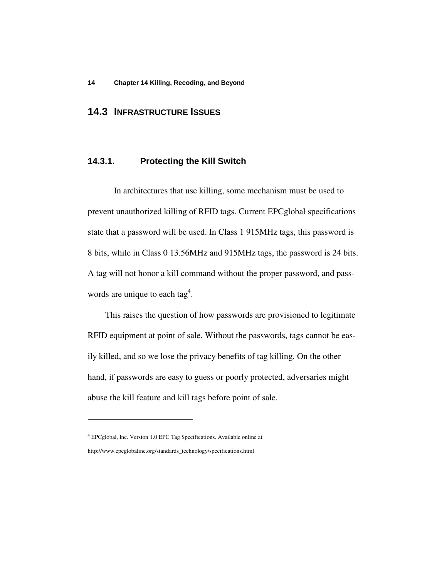### **14.3 INFRASTRUCTURE ISSUES**

### **14.3.1. Protecting the Kill Switch**

In architectures that use killing, some mechanism must be used to prevent unauthorized killing of RFID tags. Current EPCglobal specifications state that a password will be used. In Class 1 915MHz tags, this password is 8 bits, while in Class 0 13.56MHz and 915MHz tags, the password is 24 bits. A tag will not honor a kill command without the proper password, and passwords are unique to each tag<sup>4</sup>.

This raises the question of how passwords are provisioned to legitimate RFID equipment at point of sale. Without the passwords, tags cannot be easily killed, and so we lose the privacy benefits of tag killing. On the other hand, if passwords are easy to guess or poorly protected, adversaries might abuse the kill feature and kill tags before point of sale.

<sup>4</sup> EPCglobal, Inc. Version 1.0 EPC Tag Specifications. Available online at http://www.epcglobalinc.org/standards\_technology/specifications.html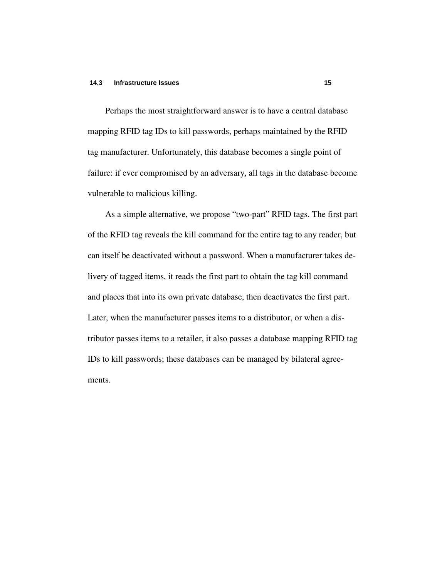#### **14.3 Infrastructure Issues 15**

Perhaps the most straightforward answer is to have a central database mapping RFID tag IDs to kill passwords, perhaps maintained by the RFID tag manufacturer. Unfortunately, this database becomes a single point of failure: if ever compromised by an adversary, all tags in the database become vulnerable to malicious killing.

As a simple alternative, we propose "two-part" RFID tags. The first part of the RFID tag reveals the kill command for the entire tag to any reader, but can itself be deactivated without a password. When a manufacturer takes delivery of tagged items, it reads the first part to obtain the tag kill command and places that into its own private database, then deactivates the first part. Later, when the manufacturer passes items to a distributor, or when a distributor passes items to a retailer, it also passes a database mapping RFID tag IDs to kill passwords; these databases can be managed by bilateral agreements.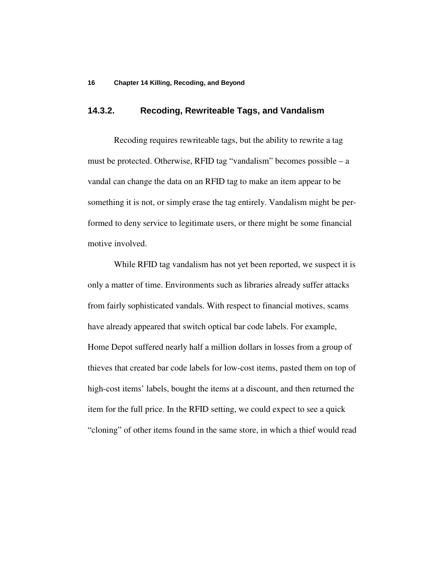### **14.3.2. Recoding, Rewriteable Tags, and Vandalism**

Recoding requires rewriteable tags, but the ability to rewrite a tag must be protected. Otherwise, RFID tag "vandalism" becomes possible – a vandal can change the data on an RFID tag to make an item appear to be something it is not, or simply erase the tag entirely. Vandalism might be performed to deny service to legitimate users, or there might be some financial motive involved.

While RFID tag vandalism has not yet been reported, we suspect it is only a matter of time. Environments such as libraries already suffer attacks from fairly sophisticated vandals. With respect to financial motives, scams have already appeared that switch optical bar code labels. For example, Home Depot suffered nearly half a million dollars in losses from a group of thieves that created bar code labels for low-cost items, pasted them on top of high-cost items' labels, bought the items at a discount, and then returned the item for the full price. In the RFID setting, we could expect to see a quick "cloning" of other items found in the same store, in which a thief would read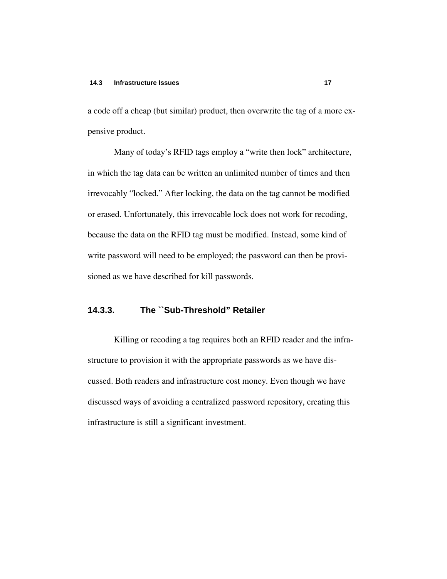a code off a cheap (but similar) product, then overwrite the tag of a more expensive product.

Many of today's RFID tags employ a "write then lock" architecture, in which the tag data can be written an unlimited number of times and then irrevocably "locked." After locking, the data on the tag cannot be modified or erased. Unfortunately, this irrevocable lock does not work for recoding, because the data on the RFID tag must be modified. Instead, some kind of write password will need to be employed; the password can then be provisioned as we have described for kill passwords.

### **14.3.3. The ``Sub-Threshold" Retailer**

Killing or recoding a tag requires both an RFID reader and the infrastructure to provision it with the appropriate passwords as we have discussed. Both readers and infrastructure cost money. Even though we have discussed ways of avoiding a centralized password repository, creating this infrastructure is still a significant investment.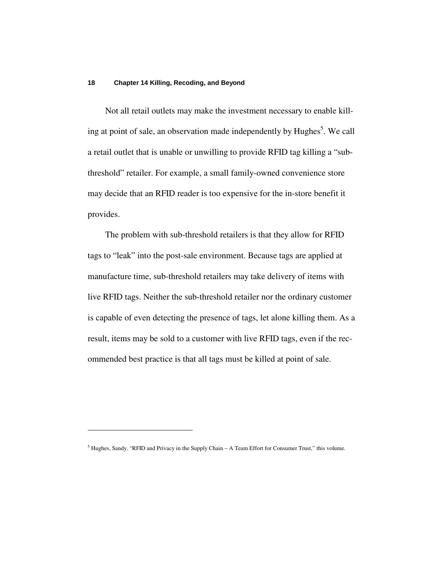Not all retail outlets may make the investment necessary to enable killing at point of sale, an observation made independently by Hughes<sup>5</sup>. We call a retail outlet that is unable or unwilling to provide RFID tag killing a "subthreshold" retailer. For example, a small family-owned convenience store may decide that an RFID reader is too expensive for the in-store benefit it provides.

The problem with sub-threshold retailers is that they allow for RFID tags to "leak" into the post-sale environment. Because tags are applied at manufacture time, sub-threshold retailers may take delivery of items with live RFID tags. Neither the sub-threshold retailer nor the ordinary customer is capable of even detecting the presence of tags, let alone killing them. As a result, items may be sold to a customer with live RFID tags, even if the recommended best practice is that all tags must be killed at point of sale.

 $<sup>5</sup>$  Hughes, Sandy. "RFID and Privacy in the Supply Chain – A Team Effort for Consumer Trust," this volume.</sup>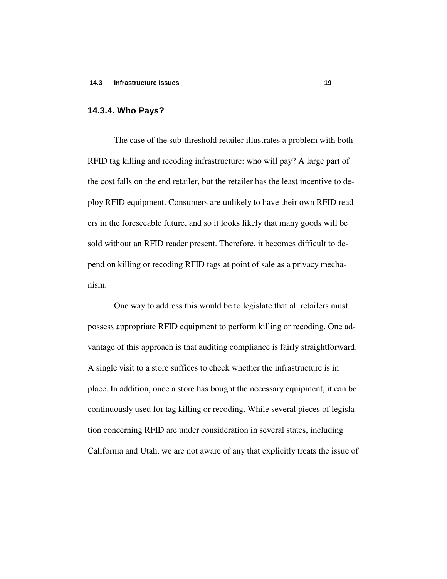### **14.3.4. Who Pays?**

The case of the sub-threshold retailer illustrates a problem with both RFID tag killing and recoding infrastructure: who will pay? A large part of the cost falls on the end retailer, but the retailer has the least incentive to deploy RFID equipment. Consumers are unlikely to have their own RFID readers in the foreseeable future, and so it looks likely that many goods will be sold without an RFID reader present. Therefore, it becomes difficult to depend on killing or recoding RFID tags at point of sale as a privacy mechanism.

One way to address this would be to legislate that all retailers must possess appropriate RFID equipment to perform killing or recoding. One advantage of this approach is that auditing compliance is fairly straightforward. A single visit to a store suffices to check whether the infrastructure is in place. In addition, once a store has bought the necessary equipment, it can be continuously used for tag killing or recoding. While several pieces of legislation concerning RFID are under consideration in several states, including California and Utah, we are not aware of any that explicitly treats the issue of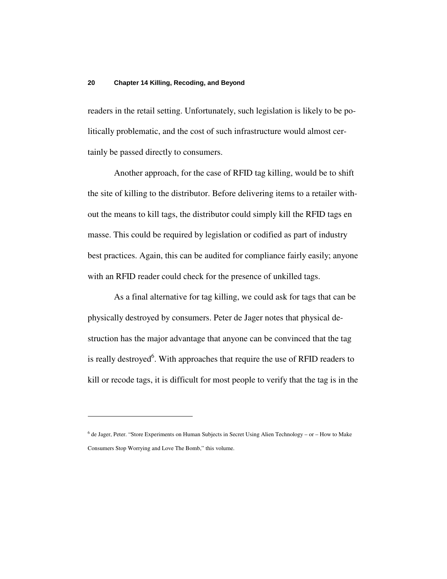readers in the retail setting. Unfortunately, such legislation is likely to be politically problematic, and the cost of such infrastructure would almost certainly be passed directly to consumers.

Another approach, for the case of RFID tag killing, would be to shift the site of killing to the distributor. Before delivering items to a retailer without the means to kill tags, the distributor could simply kill the RFID tags en masse. This could be required by legislation or codified as part of industry best practices. Again, this can be audited for compliance fairly easily; anyone with an RFID reader could check for the presence of unkilled tags.

As a final alternative for tag killing, we could ask for tags that can be physically destroyed by consumers. Peter de Jager notes that physical destruction has the major advantage that anyone can be convinced that the tag is really destroyed<sup>6</sup>. With approaches that require the use of RFID readers to kill or recode tags, it is difficult for most people to verify that the tag is in the

<sup>&</sup>lt;sup>6</sup> de Jager, Peter. "Store Experiments on Human Subjects in Secret Using Alien Technology – or – How to Make Consumers Stop Worrying and Love The Bomb," this volume.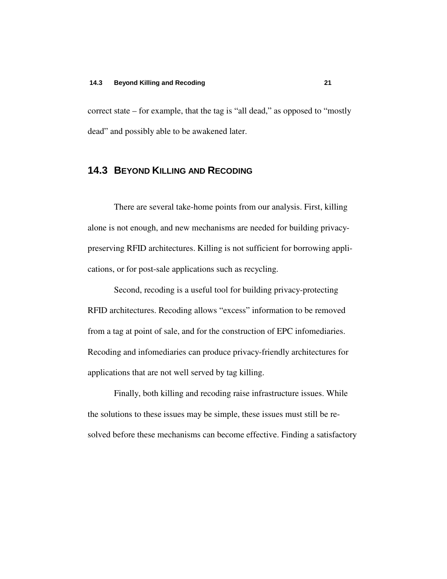correct state – for example, that the tag is "all dead," as opposed to "mostly dead" and possibly able to be awakened later.

### **14.3 BEYOND KILLING AND RECODING**

There are several take-home points from our analysis. First, killing alone is not enough, and new mechanisms are needed for building privacypreserving RFID architectures. Killing is not sufficient for borrowing applications, or for post-sale applications such as recycling.

Second, recoding is a useful tool for building privacy-protecting RFID architectures. Recoding allows "excess" information to be removed from a tag at point of sale, and for the construction of EPC infomediaries. Recoding and infomediaries can produce privacy-friendly architectures for applications that are not well served by tag killing.

Finally, both killing and recoding raise infrastructure issues. While the solutions to these issues may be simple, these issues must still be resolved before these mechanisms can become effective. Finding a satisfactory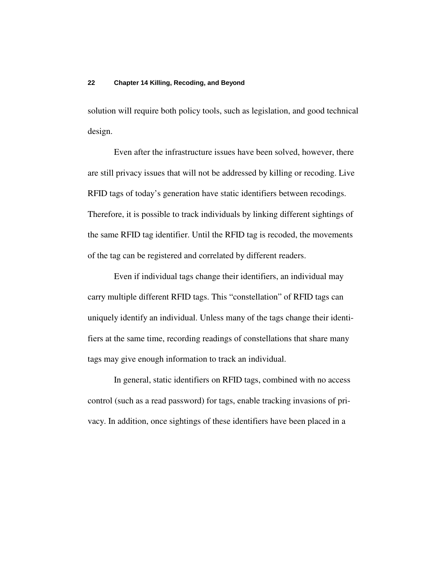solution will require both policy tools, such as legislation, and good technical design.

Even after the infrastructure issues have been solved, however, there are still privacy issues that will not be addressed by killing or recoding. Live RFID tags of today's generation have static identifiers between recodings. Therefore, it is possible to track individuals by linking different sightings of the same RFID tag identifier. Until the RFID tag is recoded, the movements of the tag can be registered and correlated by different readers.

Even if individual tags change their identifiers, an individual may carry multiple different RFID tags. This "constellation" of RFID tags can uniquely identify an individual. Unless many of the tags change their identifiers at the same time, recording readings of constellations that share many tags may give enough information to track an individual.

In general, static identifiers on RFID tags, combined with no access control (such as a read password) for tags, enable tracking invasions of privacy. In addition, once sightings of these identifiers have been placed in a